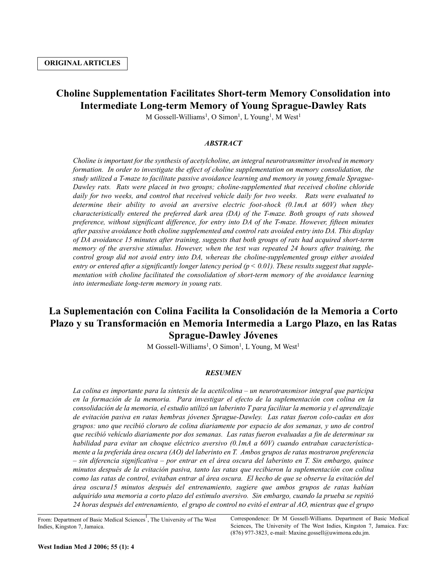# **Choline Supplementation Facilitates Short-term Memory Consolidation into Intermediate Long-term Memory of Young Sprague-Dawley Rats**

M Gossell-Williams<sup>1</sup>, O Simon<sup>1</sup>, L Young<sup>1</sup>, M West<sup>1</sup>

## *ABSTRACT*

*Choline is important for the synthesis of acetylcholine, an integral neurotransmitter involved in memory formation. In order to investigate the effect of choline supplementation on memory consolidation, the study utilized a T-maze to facilitate passive avoidance learning and memory in young female Sprague-Dawley rats. Rats were placed in two groups; choline-supplemented that received choline chloride daily for two weeks, and control that received vehicle daily for two weeks. Rats were evaluated to determine their ability to avoid an aversive electric foot-shock (0.1mA at 60V) when they characteristically entered the preferred dark area (DA) of the T-maze. Both groups of rats showed preference, without significant difference, for entry into DA of the T-maze. However, fifteen minutes after passive avoidance both choline supplemented and control rats avoided entry into DA. This display of DA avoidance 15 minutes after training, suggests that both groups of rats had acquired short-term memory of the aversive stimulus. However, when the test was repeated 24 hours after training, the control group did not avoid entry into DA, whereas the choline-supplemented group either avoided entry or entered after a significantly longer latency period (p < 0.01). These results suggest that supplementation with choline facilitated the consolidation of short-term memory of the avoidance learning into intermediate long-term memory in young rats.*

# **La Suplementación con Colina Facilita la Consolidación de la Memoria a Corto Plazo y su Transformación en Memoria Intermedia a Largo Plazo, en las Ratas Sprague-Dawley Jóvenes**

M Gossell-Williams<sup>1</sup>, O Simon<sup>1</sup>, L Young, M West<sup>1</sup>

# *RESUMEN*

*La colina es importante para la síntesis de la acetilcolina – un neurotransmisor integral que participa en la formación de la memoria. Para investigar el efecto de la suplementación con colina en la consolidación de la memoria, el estudio utilizó un laberinto T para facilitar la memoria y el aprendizaje de evitación pasiva en ratas hembras jóvenes Sprague-Dawley. Las ratas fueron colo-cadas en dos grupos: uno que recibió cloruro de colina diariamente por espacio de dos semanas, y uno de control que recibió vehículo diariamente por dos semanas. Las ratas fueron evaluadas a fin de determinar su habilidad para evitar un choque eléctrico aversivo (0.1mA a 60V) cuando entraban característicamente a la preferida área oscura (AO) del laberinto en T. Ambos grupos de ratas mostraron preferencia – sin diferencia significativa – por entrar en el área oscura del laberinto en T. Sin embargo, quince minutos después de la evitación pasiva, tanto las ratas que recibieron la suplementación con colina como las ratas de control, evitaban entrar al área oscura. El hecho de que se observe la evitación del área oscura15 minutos después del entrenamiento, sugiere que ambos grupos de ratas habían adquirido una memoria a corto plazo del estímulo aversivo. Sin embargo, cuando la prueba se repitió 24 horas después del entrenamiento, el grupo de control no evitó el entrar al AO, mientras que el grupo*

From: Department of Basic Medical Sciences<sup>1</sup>, The University of The West Indies, Kingston 7, Jamaica.

Correspondence: Dr M Gossell-Williams. Department of Basic Medical Sciences, The University of The West Indies, Kingston 7, Jamaica. Fax: (876) 977-3823, e-mail: Maxine.gossell@uwimona.edu.jm.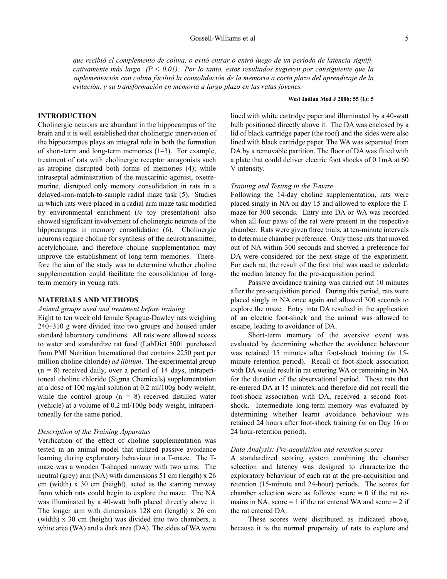*que recibió el complemento de colina, o evitó entrar o entró luego de un período de latencia significativamente más largo (P < 0.01). Por lo tanto, estos resultados sugieren por consiguiente que la suplementación con colina facilitó la consolidación de la memoria a corto plazo del aprendizaje de la evitación, y su transformación en memoria a largo plazo en las ratas jóvenes.*

# **West Indian Med J 2006; 55 (1): 5**

## **INTRODUCTION**

Cholinergic neurons are abundant in the hippocampus of the brain and it is well established that cholinergic innervation of the hippocampus plays an integral role in both the formation of short-term and long-term memories (1–3). For example, treatment of rats with cholinergic receptor antagonists such as atropine disrupted both forms of memories (4); while intraseptal administration of the muscarinic agonist, oxetremorine, disrupted only memory consolidation in rats in a delayed-non-match-to-sample radial maze task (5). Studies in which rats were placed in a radial arm maze task modified by environmental enrichment (*ie* toy presentation) also showed significant involvement of cholinergic neurons of the hippocampus in memory consolidation (6). Cholinergic neurons require choline for synthesis of the neurotransmitter, acetylcholine, and therefore choline supplementation may improve the establishment of long-term memories. Therefore the aim of the study was to determine whether choline supplementation could facilitate the consolidation of longterm memory in young rats.

## **MATERIALS AND METHODS**

## *Animal groups used and treatment before training*

Eight to ten week old female Sprague-Dawley rats weighing 240–310 g were divided into two groups and housed under standard laboratory conditions. All rats were allowed access to water and standardize rat food (LabDiet 5001 purchased from PMI Nutrition International that contains 2250 part per million choline chloride) *ad libitum*. The experimental group  $(n = 8)$  received daily, over a period of 14 days, intraperitoneal choline chloride (Sigma Chemicals) supplementation at a dose of 100 mg/ml solution at 0.2 ml/100g body weight; while the control group  $(n = 8)$  received distilled water (vehicle) at a volume of 0.2 ml/100g body weight, intraperitoneally for the same period.

## *Description of the Training Apparatus*

Verification of the effect of choline supplementation was tested in an animal model that utilized passive avoidance learning during exploratory behaviour in a T-maze. The Tmaze was a wooden T-shaped runway with two arms. The neutral (grey) arm (NA) with dimensions 51 cm (length) x 26 cm (width) x 30 cm (height), acted as the starting runway from which rats could begin to explore the maze. The NA was illuminated by a 40-watt bulb placed directly above it. The longer arm with dimensions 128 cm (length) x 26 cm (width) x 30 cm (height) was divided into two chambers, a white area (WA) and a dark area (DA). The sides of WA were lined with white cartridge paper and illuminated by a 40-watt bulb positioned directly above it. The DA was enclosed by a lid of black cartridge paper (the roof) and the sides were also lined with black cartridge paper. The WA was separated from DA by a removable partition. The floor of DA was fitted with a plate that could deliver electric foot shocks of 0.1mA at 60 V intensity.

#### *Training and Testing in the T-maze*

Following the 14-day choline supplementation, rats were placed singly in NA on day 15 and allowed to explore the Tmaze for 300 seconds. Entry into DA or WA was recorded when all four paws of the rat were present in the respective chamber. Rats were given three trials, at ten-minute intervals to determine chamber preference. Only those rats that moved out of NA within 300 seconds and showed a preference for DA were considered for the next stage of the experiment. For each rat, the result of the first trial was used to calculate the median latency for the pre-acquisition period.

Passive avoidance training was carried out 10 minutes after the pre-acquisition period. During this period, rats were placed singly in NA once again and allowed 300 seconds to explore the maze. Entry into DA resulted in the application of an electric foot-shock and the animal was allowed to escape, leading to avoidance of DA.

Short-term memory of the aversive event was evaluated by determining whether the avoidance behaviour was retained 15 minutes after foot-shock training (*ie* 15 minute retention period). Recall of foot-shock association with DA would result in rat entering WA or remaining in NA for the duration of the observational period. Those rats that re-entered DA at 15 minutes, and therefore did not recall the foot-shock association with DA, received a second footshock. Intermediate long-term memory was evaluated by determining whether learnt avoidance behaviour was retained 24 hours after foot-shock training (*ie* on Day 16 or 24 hour-retention period).

### *Data Analysis: Pre-acquisition and retention scores*

A standardized scoring system combining the chamber selection and latency was designed to characterize the exploratory behaviour of each rat at the pre-acquisition and retention (15-minute and 24-hour) periods. The scores for chamber selection were as follows: score  $= 0$  if the rat remains in NA; score  $= 1$  if the rat entered WA and score  $= 2$  if the rat entered DA.

These scores were distributed as indicated above, because it is the normal propensity of rats to explore and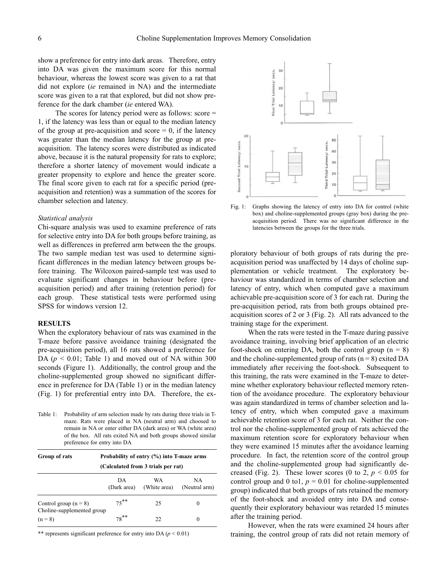show a preference for entry into dark areas. Therefore, entry into DA was given the maximum score for this normal behaviour, whereas the lowest score was given to a rat that did not explore (*ie* remained in NA) and the intermediate score was given to a rat that explored, but did not show preference for the dark chamber (*ie* entered WA).

The scores for latency period were as follows: score = 1, if the latency was less than or equal to the median latency of the group at pre-acquisition and score  $= 0$ , if the latency was greater than the median latency for the group at preacquisition. The latency scores were distributed as indicated above, because it is the natural propensity for rats to explore; therefore a shorter latency of movement would indicate a greater propensity to explore and hence the greater score. The final score given to each rat for a specific period (preacquisition and retention) was a summation of the scores for chamber selection and latency.

#### *Statistical analysis*

Chi-square analysis was used to examine preference of rats for selective entry into DA for both groups before training, as well as differences in preferred arm between the the groups. The two sample median test was used to determine significant differences in the median latency between groups before training. The Wilcoxon paired-sample test was used to evaluate significant changes in behaviour before (preacquisition period) and after training (retention period) for each group. These statistical tests were performed using SPSS for windows version 12.

### **RESULTS**

When the exploratory behaviour of rats was examined in the T-maze before passive avoidance training (designated the pre-acquisition period), all 16 rats showed a preference for DA ( $p < 0.01$ ; Table 1) and moved out of NA within 300 seconds (Figure 1). Additionally, the control group and the choline-supplemented group showed no significant difference in preference for DA (Table 1) or in the median latency (Fig. 1) for preferential entry into DA. Therefore, the ex-

Table 1: Probability of arm selection made by rats during three trials in Tmaze. Rats were placed in NA (neutral arm) and choosed to remain in NA or enter either DA (dark area) or WA (white area) of the box. All rats exited NA and both groups showed similar preference for entry into DA

| Group of rats                                         | Probability of entry $(\% )$ into T-maze arms<br>(Calculated from 3 trials per rat) |                    |                     |
|-------------------------------------------------------|-------------------------------------------------------------------------------------|--------------------|---------------------|
|                                                       | DА<br>(Dark area)                                                                   | WA<br>(White area) | NA<br>(Neutral arm) |
| Control group $(n = 8)$<br>Choline-supplemented group | $75***$                                                                             | 25                 | $\theta$            |
| $(n = 8)$                                             | $78***$                                                                             | 22                 | $\theta$            |

\*\* represents significant preference for entry into DA  $(p < 0.01)$ 



Fig. 1: Graphs showing the latency of entry into DA for control (white box) and choline-supplemented groups (gray box) during the preacquisition period. There was no significant difference in the latencies between the groups for the three trials.

ploratory behaviour of both groups of rats during the preacquisition period was unaffected by 14 days of choline supplementation or vehicle treatment. The exploratory behaviour was standardized in terms of chamber selection and latency of entry, which when computed gave a maximum achievable pre-acquisition score of 3 for each rat. During the pre-acquisition period, rats from both groups obtained preacquisition scores of 2 or 3 (Fig. 2). All rats advanced to the training stage for the experiment.

When the rats were tested in the T-maze during passive avoidance training, involving brief application of an electric foot-shock on entering DA, both the control group  $(n = 8)$ and the choline-supplemented group of rats  $(n = 8)$  exited DA immediately after receiving the foot-shock. Subsequent to this training, the rats were examined in the T-maze to determine whether exploratory behaviour reflected memory retention of the avoidance procedure. The exploratory behaviour was again standardized in terms of chamber selection and latency of entry, which when computed gave a maximum achievable retention score of 3 for each rat. Neither the control nor the choline-supplemented group of rats achieved the maximum retention score for exploratory behaviour when they were examined 15 minutes after the avoidance learning procedure. In fact, the retention score of the control group and the choline-supplemented group had significantly decreased (Fig. 2). These lower scores (0 to 2,  $p < 0.05$  for control group and 0 to1,  $p = 0.01$  for choline-supplemented group) indicated that both groups of rats retained the memory of the foot-shock and avoided entry into DA and consequently their exploratory behaviour was retarded 15 minutes after the training period.

However, when the rats were examined 24 hours after training, the control group of rats did not retain memory of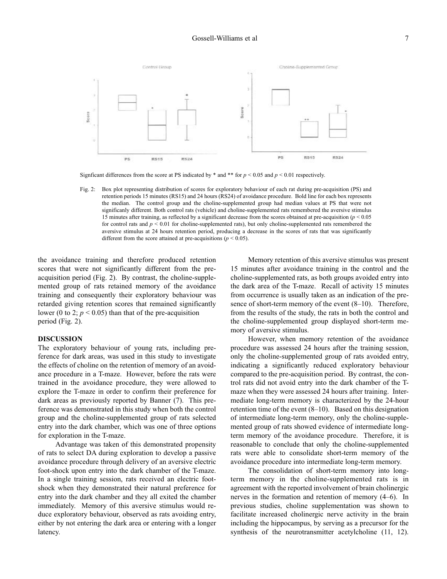

Signficant differences from the score at PS indicated by  $*$  and  $**$  for  $p < 0.05$  and  $p < 0.01$  respectively.

Fig. 2: Box plot representing distribution of scores for exploratory behaviour of each rat during pre-acquisition (PS) and retention periods 15 minutes (RS15) and 24 hours (RS24) of avoidance procedure. Bold line for each box represents the median. The control group and the choline-supplemented group had median values at PS that were not significanly different. Both control rats (vehicle) and choline-supplemented rats remembered the aversive stimulus 15 minutes after training, as reflected by a significant decrease from the scores obtained at pre-acquisition (*p* < 0.05 for control rats and *p* < 0.01 for choline-supplemented rats), but only choline-supplemented rats remembered the aversive stimulus at 24 hours retention period, producing a decrease in the scores of rats that was significantly different from the score attained at pre-acquisitions ( $p < 0.05$ ).

the avoidance training and therefore produced retention scores that were not significantly different from the preacquisition period (Fig. 2). By contrast, the choline-supplemented group of rats retained memory of the avoidance training and consequently their exploratory behaviour was retarded giving retention scores that remained significantly lower (0 to 2;  $p < 0.05$ ) than that of the pre-acquisition period (Fig. 2).

## **DISCUSSION**

The exploratory behaviour of young rats, including preference for dark areas, was used in this study to investigate the effects of choline on the retention of memory of an avoidance procedure in a T-maze. However, before the rats were trained in the avoidance procedure, they were allowed to explore the T-maze in order to confirm their preference for dark areas as previously reported by Banner (7). This preference was demonstrated in this study when both the control group and the choline-supplemented group of rats selected entry into the dark chamber, which was one of three options for exploration in the T-maze.

Advantage was taken of this demonstrated propensity of rats to select DA during exploration to develop a passive avoidance procedure through delivery of an aversive electric foot-shock upon entry into the dark chamber of the T-maze. In a single training session, rats received an electric footshock when they demonstrated their natural preference for entry into the dark chamber and they all exited the chamber immediately. Memory of this aversive stimulus would reduce exploratory behaviour, observed as rats avoiding entry, either by not entering the dark area or entering with a longer latency.

Memory retention of this aversive stimulus was present 15 minutes after avoidance training in the control and the choline-supplemented rats, as both groups avoided entry into the dark area of the T-maze. Recall of activity 15 minutes from occurrence is usually taken as an indication of the presence of short-term memory of the event (8–10). Therefore, from the results of the study, the rats in both the control and the choline-supplemented group displayed short-term memory of aversive stimulus.

However, when memory retention of the avoidance procedure was assessed 24 hours after the training session, only the choline-supplemented group of rats avoided entry, indicating a significantly reduced exploratory behaviour compared to the pre-acquisition period. By contrast, the control rats did not avoid entry into the dark chamber of the Tmaze when they were assessed 24 hours after training. Intermediate long-term memory is characterized by the 24-hour retention time of the event (8–10). Based on this designation of intermediate long-term memory, only the choline-supplemented group of rats showed evidence of intermediate longterm memory of the avoidance procedure. Therefore, it is reasonable to conclude that only the choline-supplemented rats were able to consolidate short-term memory of the avoidance procedure into intermediate long-term memory.

The consolidation of short-term memory into longterm memory in the choline-supplemented rats is in agreement with the reported involvement of brain cholinergic nerves in the formation and retention of memory (4–6). In previous studies, choline supplementation was shown to facilitate increased cholinergic nerve activity in the brain including the hippocampus, by serving as a precursor for the synthesis of the neurotransmitter acetylcholine (11, 12).